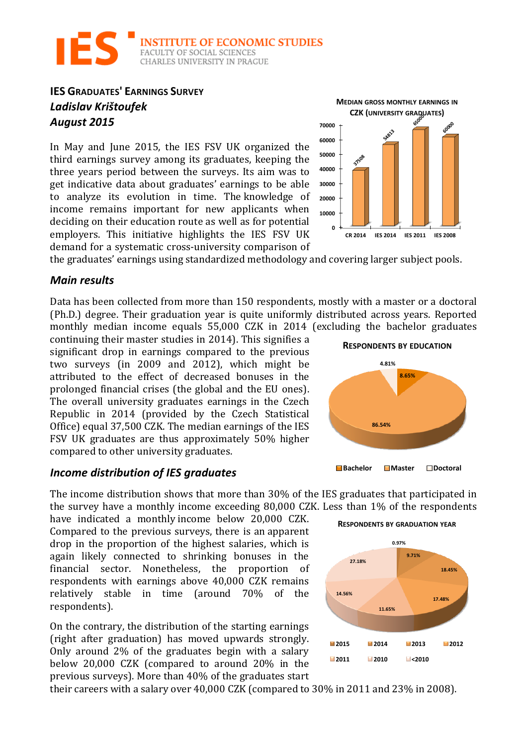

# **IES GRADUATES' EARNINGS SURVEY** *Ladislav Krištoufek August 2015*

In May and June 2015, the IES FSV UK organized the third earnings survey among its graduates, keeping the three years period between the surveys. Its aim was to get indicative data about graduates' earnings to be able to analyze its evolution in time. The knowledge of income remains important for new applicants when deciding on their education route as well as for potential employers. This initiative highlights the IES FSV UK demand for a systematic cross-university comparison of



the graduates' earnings using standardized methodology and covering larger subject pools.

### *Main results*

Data has been collected from more than 150 respondents, mostly with a master or a doctoral (Ph.D.) degree. Their graduation year is quite uniformly distributed across years. Reported monthly median income equals 55,000 CZK in 2014 (excluding the bachelor graduates

continuing their master studies in 2014). This signifies a significant drop in earnings compared to the previous two surveys (in 2009 and 2012), which might be attributed to the effect of decreased bonuses in the prolonged financial crises (the global and the EU ones). The overall university graduates earnings in the Czech Republic in 2014 (provided by the Czech Statistical Office) equal 37,500 CZK. The median earnings of the IES FSV UK graduates are thus approximately 50% higher compared to other university graduates.

#### *Income distribution of IES graduates*

The income distribution shows that more than 30% of the IES graduates that participated in the survey have a monthly income exceeding  $80,000$  CZK. Less than  $1\%$  of the respondents

have indicated a monthly income below 20,000 CZK. Compared to the previous surveys, there is an apparent drop in the proportion of the highest salaries, which is again likely connected to shrinking bonuses in the financial sector. Nonetheless, the proportion of respondents with earnings above 40,000 CZK remains relatively stable in time (around 70% of the respondents).

On the contrary, the distribution of the starting earnings (right after graduation) has moved upwards strongly. Only around  $2\%$  of the graduates begin with a salary below 20,000 CZK (compared to around 20% in the previous surveys). More than 40% of the graduates start

their careers with a salary over  $40,000$  CZK (compared to  $30\%$  in  $2011$  and  $23\%$  in 2008).